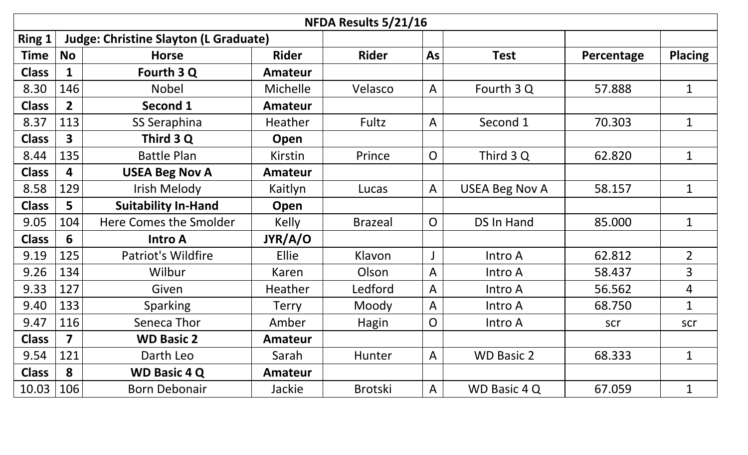| NFDA Results 5/21/16 |                |                                              |                |                |                |                       |            |                |  |  |
|----------------------|----------------|----------------------------------------------|----------------|----------------|----------------|-----------------------|------------|----------------|--|--|
| <b>Ring 1</b>        |                | <b>Judge: Christine Slayton (L Graduate)</b> |                |                |                |                       |            |                |  |  |
| <b>Time</b>          | <b>No</b>      | <b>Horse</b>                                 | <b>Rider</b>   | <b>Rider</b>   | As             | <b>Test</b>           | Percentage | <b>Placing</b> |  |  |
| <b>Class</b>         | 1              | Fourth 3 Q                                   | <b>Amateur</b> |                |                |                       |            |                |  |  |
| 8.30                 | 146            | <b>Nobel</b>                                 | Michelle       | Velasco        | $\mathsf{A}$   | Fourth 3 Q            | 57.888     | $\mathbf{1}$   |  |  |
| <b>Class</b>         | 2 <sup>2</sup> | Second 1                                     | <b>Amateur</b> |                |                |                       |            |                |  |  |
| 8.37                 | 113            | SS Seraphina                                 | <b>Heather</b> | Fultz          | $\mathsf{A}$   | Second 1              | 70.303     | $\mathbf{1}$   |  |  |
| <b>Class</b>         | 3              | Third 3 Q                                    | Open           |                |                |                       |            |                |  |  |
| 8.44                 | 135            | <b>Battle Plan</b>                           | <b>Kirstin</b> | Prince         | $\overline{O}$ | Third 3 Q             | 62.820     | $\mathbf{1}$   |  |  |
| <b>Class</b>         | 4              | <b>USEA Beg Nov A</b>                        | Amateur        |                |                |                       |            |                |  |  |
| 8.58                 | 129            | Irish Melody                                 | Kaitlyn        | Lucas          | $\mathsf{A}$   | <b>USEA Beg Nov A</b> | 58.157     | $\mathbf{1}$   |  |  |
| <b>Class</b>         | 5              | <b>Suitability In-Hand</b>                   | Open           |                |                |                       |            |                |  |  |
| 9.05                 | 104            | Here Comes the Smolder                       | <b>Kelly</b>   | <b>Brazeal</b> | $\overline{O}$ | <b>DS In Hand</b>     | 85.000     | $\mathbf{1}$   |  |  |
| <b>Class</b>         | 6              | <b>Intro A</b>                               | JYR/A/O        |                |                |                       |            |                |  |  |
| 9.19                 | 125            | <b>Patriot's Wildfire</b>                    | Ellie          | Klavon         |                | Intro A               | 62.812     | $\overline{2}$ |  |  |
| 9.26                 | 134            | Wilbur                                       | Karen          | Olson          | A              | Intro A               | 58.437     | $\overline{3}$ |  |  |
| 9.33                 | 127            | Given                                        | Heather        | Ledford        | $\mathsf{A}$   | Intro A               | 56.562     | 4              |  |  |
| 9.40                 | 133            | <b>Sparking</b>                              | <b>Terry</b>   | Moody          | $\mathsf{A}$   | Intro A               | 68.750     | $\mathbf{1}$   |  |  |
| 9.47                 | 116            | Seneca Thor                                  | Amber          | <b>Hagin</b>   | $\overline{O}$ | Intro A               | scr        | scr            |  |  |
| <b>Class</b>         | 7              | <b>WD Basic 2</b>                            | <b>Amateur</b> |                |                |                       |            |                |  |  |
| 9.54                 | 121            | Darth Leo                                    | Sarah          | <b>Hunter</b>  | $\mathsf{A}$   | <b>WD Basic 2</b>     | 68.333     | $\mathbf{1}$   |  |  |
| <b>Class</b>         | 8              | <b>WD Basic 4 Q</b>                          | Amateur        |                |                |                       |            |                |  |  |
| 10.03                | 106            | <b>Born Debonair</b>                         | Jackie         | <b>Brotski</b> | $\mathsf{A}$   | WD Basic 4 Q          | 67.059     | $\mathbf{1}$   |  |  |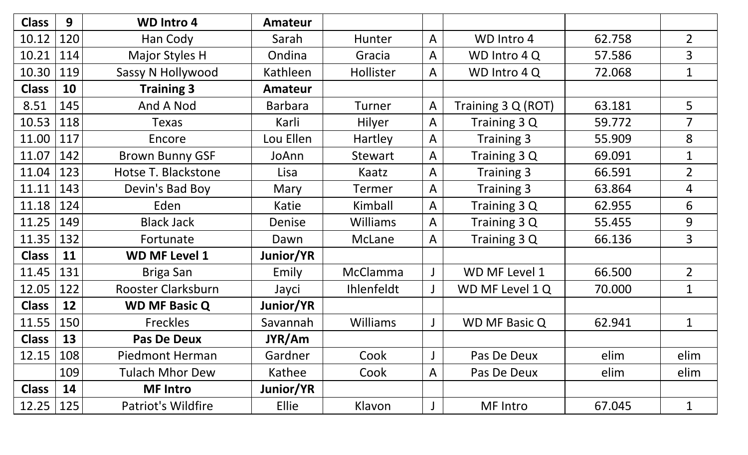| <b>Class</b> | 9   | <b>WD Intro 4</b>      | <b>Amateur</b> |                   |                |                      |        |                |
|--------------|-----|------------------------|----------------|-------------------|----------------|----------------------|--------|----------------|
| 10.12        | 120 | Han Cody               | Sarah          | Hunter            | $\overline{A}$ | WD Intro 4           | 62.758 | $\overline{2}$ |
| 10.21        | 114 | Major Styles H         | Ondina         | Gracia            | $\mathsf{A}$   | WD Intro 4 Q         | 57.586 | 3              |
| 10.30        | 119 | Sassy N Hollywood      | Kathleen       | Hollister         | $\mathsf{A}$   | WD Intro 4 Q         | 72.068 | $\mathbf 1$    |
| <b>Class</b> | 10  | <b>Training 3</b>      | <b>Amateur</b> |                   |                |                      |        |                |
| 8.51         | 145 | And A Nod              | <b>Barbara</b> | Turner            | $\overline{A}$ | Training 3 Q (ROT)   | 63.181 | 5              |
| 10.53        | 118 | <b>Texas</b>           | Karli          | <b>Hilyer</b>     | $\mathsf{A}$   | Training 3 Q         | 59.772 | $\overline{7}$ |
| 11.00        | 117 | Encore                 | Lou Ellen      | Hartley           | $\overline{A}$ | Training 3           | 55.909 | 8              |
| 11.07        | 142 | <b>Brown Bunny GSF</b> | JoAnn          | <b>Stewart</b>    | $\mathsf{A}$   | Training 3 Q         | 69.091 | $\mathbf{1}$   |
| 11.04        | 123 | Hotse T. Blackstone    | Lisa           | Kaatz             | $\overline{A}$ | <b>Training 3</b>    | 66.591 | $\overline{2}$ |
| 11.11        | 143 | Devin's Bad Boy        | Mary           | Termer            | $\mathsf{A}$   | <b>Training 3</b>    | 63.864 | $\overline{4}$ |
| 11.18        | 124 | Eden                   | Katie          | Kimball           | $\overline{A}$ | Training 3 Q         | 62.955 | 6              |
| 11.25        | 149 | <b>Black Jack</b>      | Denise         | Williams          | $\mathsf{A}$   | Training 3 Q         | 55.455 | 9              |
| 11.35        | 132 | Fortunate              | Dawn           | McLane            | $\overline{A}$ | Training 3 Q         | 66.136 | 3              |
| <b>Class</b> | 11  | <b>WD MF Level 1</b>   | Junior/YR      |                   |                |                      |        |                |
| 11.45        | 131 | Briga San              | Emily          | <b>McClamma</b>   |                | WD MF Level 1        | 66.500 | $\overline{2}$ |
| 12.05        | 122 | Rooster Clarksburn     | Jayci          | <b>Ihlenfeldt</b> |                | WD MF Level 1 Q      | 70.000 | $\mathbf{1}$   |
| <b>Class</b> | 12  | <b>WD MF Basic Q</b>   | Junior/YR      |                   |                |                      |        |                |
| 11.55        | 150 | <b>Freckles</b>        | Savannah       | Williams          |                | <b>WD MF Basic Q</b> | 62.941 | $\mathbf 1$    |
| <b>Class</b> | 13  | <b>Pas De Deux</b>     | JYR/Am         |                   |                |                      |        |                |
| 12.15        | 108 | Piedmont Herman        | Gardner        | Cook              | J              | Pas De Deux          | elim   | elim           |
|              | 109 | <b>Tulach Mhor Dew</b> | Kathee         | Cook              | $\mathsf{A}$   | Pas De Deux          | elim   | elim           |
| <b>Class</b> | 14  | <b>MF Intro</b>        | Junior/YR      |                   |                |                      |        |                |
| 12.25        | 125 | Patriot's Wildfire     | <b>Ellie</b>   | Klavon            |                | MF Intro             | 67.045 | $\mathbf{1}$   |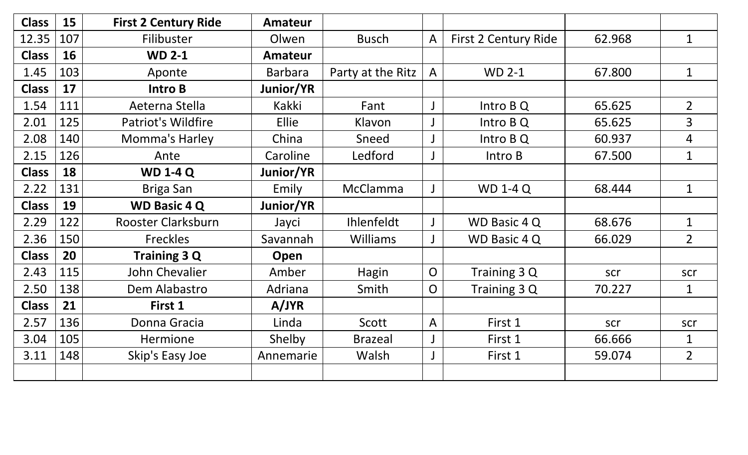| <b>Class</b> | 15  | <b>First 2 Century Ride</b> | <b>Amateur</b> |                   |                |                      |        |                |
|--------------|-----|-----------------------------|----------------|-------------------|----------------|----------------------|--------|----------------|
| 12.35        | 107 | Filibuster                  | Olwen          | <b>Busch</b>      | $\mathsf{A}$   | First 2 Century Ride | 62.968 | $\mathbf{1}$   |
| <b>Class</b> | 16  | <b>WD 2-1</b>               | <b>Amateur</b> |                   |                |                      |        |                |
| 1.45         | 103 | Aponte                      | <b>Barbara</b> | Party at the Ritz | $\mathsf{A}$   | <b>WD 2-1</b>        | 67.800 | $\mathbf{1}$   |
| <b>Class</b> | 17  | Intro B                     | Junior/YR      |                   |                |                      |        |                |
| 1.54         | 111 | Aeterna Stella              | Kakki          | Fant              | J              | Intro B Q            | 65.625 | $\overline{2}$ |
| 2.01         | 125 | <b>Patriot's Wildfire</b>   | Ellie          | Klavon            | $\bigcup$      | Intro B Q            | 65.625 | $\overline{3}$ |
| 2.08         | 140 | <b>Momma's Harley</b>       | China          | Sneed             |                | Intro B Q            | 60.937 | 4              |
| 2.15         | 126 | Ante                        | Caroline       | Ledford           | $\mathsf J$    | Intro B              | 67.500 | $\mathbf{1}$   |
| <b>Class</b> | 18  | <b>WD 1-4 Q</b>             | Junior/YR      |                   |                |                      |        |                |
| 2.22         | 131 | Briga San                   | Emily          | McClamma          | J              | <b>WD 1-4 Q</b>      | 68.444 | $\mathbf{1}$   |
| <b>Class</b> | 19  | <b>WD Basic 4 Q</b>         | Junior/YR      |                   |                |                      |        |                |
| 2.29         | 122 | Rooster Clarksburn          | Jayci          | <b>Ihlenfeldt</b> | $\mathsf J$    | WD Basic 4 Q         | 68.676 | $\mathbf{1}$   |
| 2.36         | 150 | Freckles                    | Savannah       | <b>Williams</b>   | $\mathsf J$    | WD Basic 4 Q         | 66.029 | $\overline{2}$ |
| <b>Class</b> | 20  | Training 3 Q                | Open           |                   |                |                      |        |                |
| 2.43         | 115 | John Chevalier              | Amber          | Hagin             | $\mathsf{O}$   | Training 3 Q         | scr    | scr            |
| 2.50         | 138 | Dem Alabastro               | Adriana        | Smith             | $\overline{O}$ | Training 3 Q         | 70.227 | $\mathbf{1}$   |
| <b>Class</b> | 21  | First 1                     | A/JYR          |                   |                |                      |        |                |
| 2.57         | 136 | Donna Gracia                | Linda          | Scott             | $\mathsf{A}$   | First 1              | scr    | scr            |
| 3.04         | 105 | <b>Hermione</b>             | Shelby         | <b>Brazeal</b>    | $\bigcup$      | First 1              | 66.666 | $\mathbf{1}$   |
| 3.11         | 148 | Skip's Easy Joe             | Annemarie      | Walsh             | J              | First 1              | 59.074 | $\overline{2}$ |
|              |     |                             |                |                   |                |                      |        |                |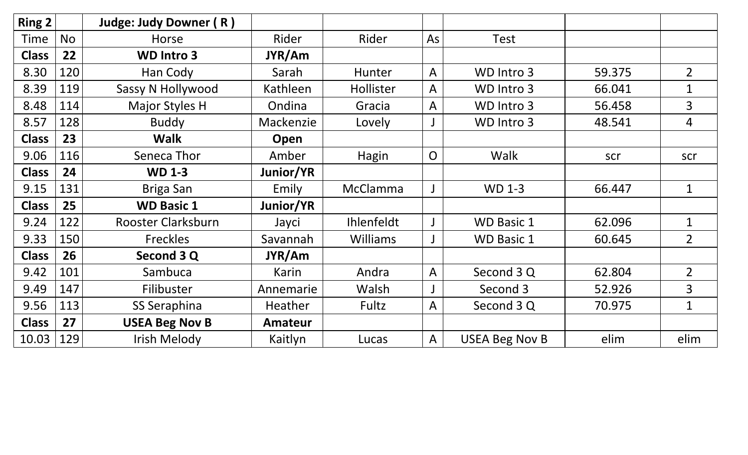| Ring 2       |           | Judge: Judy Downer (R)   |                  |                   |                |                       |        |                |
|--------------|-----------|--------------------------|------------------|-------------------|----------------|-----------------------|--------|----------------|
| Time         | <b>No</b> | Horse                    | Rider            | Rider             | As             | <b>Test</b>           |        |                |
| <b>Class</b> | 22        | <b>WD Intro 3</b>        | JYR/Am           |                   |                |                       |        |                |
| 8.30         | 120       | Han Cody                 | Sarah            | Hunter            | $\mathsf{A}$   | WD Intro 3            | 59.375 | $\overline{2}$ |
| 8.39         | 119       | <b>Sassy N Hollywood</b> | Kathleen         | Hollister         | $\mathsf{A}$   | WD Intro 3            | 66.041 | $\mathbf{1}$   |
| 8.48         | 114       | Major Styles H           | Ondina           | Gracia            | $\mathsf{A}$   | WD Intro 3            | 56.458 | 3              |
| 8.57         | 128       | <b>Buddy</b>             | Mackenzie        | Lovely            |                | WD Intro 3            | 48.541 | $\overline{4}$ |
| <b>Class</b> | 23        | <b>Walk</b>              | Open             |                   |                |                       |        |                |
| 9.06         | 116       | Seneca Thor              | Amber            | Hagin             | $\overline{O}$ | Walk                  | scr    | scr            |
| <b>Class</b> | 24        | <b>WD 1-3</b>            | Junior/YR        |                   |                |                       |        |                |
| 9.15         | 131       | Briga San                | Emily            | <b>McClamma</b>   |                | <b>WD 1-3</b>         | 66.447 | $\mathbf{1}$   |
| <b>Class</b> | 25        | <b>WD Basic 1</b>        | <b>Junior/YR</b> |                   |                |                       |        |                |
| 9.24         | 122       | Rooster Clarksburn       | Jayci            | <b>Ihlenfeldt</b> |                | <b>WD Basic 1</b>     | 62.096 | $\mathbf{1}$   |
| 9.33         | 150       | <b>Freckles</b>          | Savannah         | <b>Williams</b>   |                | <b>WD Basic 1</b>     | 60.645 | $\overline{2}$ |
| <b>Class</b> | 26        | Second 3 Q               | JYR/Am           |                   |                |                       |        |                |
| 9.42         | 101       | Sambuca                  | Karin            | Andra             | $\overline{A}$ | Second 3 Q            | 62.804 | $\overline{2}$ |
| 9.49         | 147       | Filibuster               | Annemarie        | Walsh             |                | Second 3              | 52.926 | $\overline{3}$ |
| 9.56         | 113       | SS Seraphina             | <b>Heather</b>   | Fultz             | $\mathsf{A}$   | Second 3 Q            | 70.975 | $\mathbf{1}$   |
| <b>Class</b> | 27        | <b>USEA Beg Nov B</b>    | <b>Amateur</b>   |                   |                |                       |        |                |
| 10.03        | 129       | <b>Irish Melody</b>      | Kaitlyn          | Lucas             | $\mathsf{A}$   | <b>USEA Beg Nov B</b> | elim   | elim           |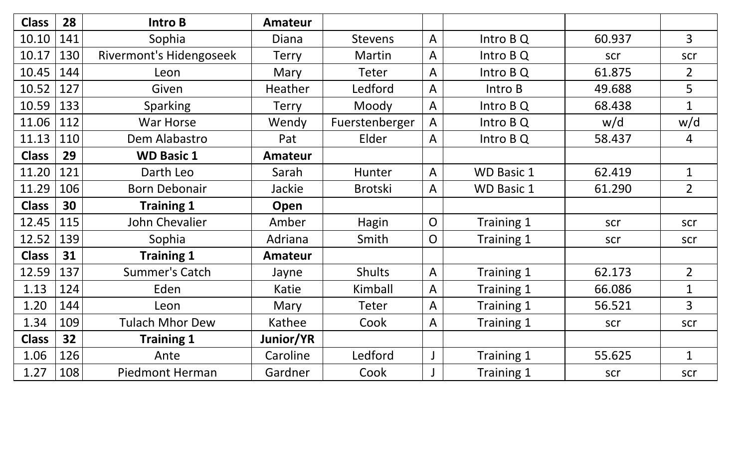| <b>Class</b> | 28  | <b>Intro B</b>                 | Amateur        |                |                |                   |        |                |
|--------------|-----|--------------------------------|----------------|----------------|----------------|-------------------|--------|----------------|
| 10.10        | 141 | Sophia                         | <b>Diana</b>   | <b>Stevens</b> | $\overline{A}$ | Intro B Q         | 60.937 | $\overline{3}$ |
| 10.17        | 130 | <b>Rivermont's Hidengoseek</b> | <b>Terry</b>   | Martin         | A              | Intro B Q         | scr    | scr            |
| 10.45        | 144 | Leon                           | Mary           | <b>Teter</b>   | A              | Intro B Q         | 61.875 | $\overline{2}$ |
| 10.52        | 127 | Given                          | Heather        | Ledford        | $\mathsf{A}$   | Intro B           | 49.688 | 5              |
| 10.59        | 133 | <b>Sparking</b>                | <b>Terry</b>   | Moody          | A              | Intro B Q         | 68.438 | $\mathbf{1}$   |
| 11.06        | 112 | War Horse                      | Wendy          | Fuerstenberger | A              | Intro B Q         | w/d    | w/d            |
| 11.13        | 110 | Dem Alabastro                  | Pat            | Elder          | A              | Intro B Q         | 58.437 | 4              |
| <b>Class</b> | 29  | <b>WD Basic 1</b>              | <b>Amateur</b> |                |                |                   |        |                |
| 11.20        | 121 | Darth Leo                      | Sarah          | <b>Hunter</b>  | $\overline{A}$ | <b>WD Basic 1</b> | 62.419 | $\mathbf{1}$   |
| 11.29        | 106 | <b>Born Debonair</b>           | <b>Jackie</b>  | <b>Brotski</b> | A              | <b>WD Basic 1</b> | 61.290 | $\overline{2}$ |
| <b>Class</b> | 30  | <b>Training 1</b>              | Open           |                |                |                   |        |                |
| 12.45        | 115 | John Chevalier                 | Amber          | Hagin          | $\mathsf{O}$   | Training 1        | scr    | scr            |
| 12.52        | 139 | Sophia                         | Adriana        | Smith          | $\overline{O}$ | Training 1        | scr    | scr            |
| <b>Class</b> | 31  | <b>Training 1</b>              | <b>Amateur</b> |                |                |                   |        |                |
| 12.59        | 137 | <b>Summer's Catch</b>          | Jayne          | <b>Shults</b>  | A              | Training 1        | 62.173 | $\overline{2}$ |
| 1.13         | 124 | Eden                           | Katie          | Kimball        | A              | Training 1        | 66.086 | $\mathbf{1}$   |
| 1.20         | 144 | Leon                           | Mary           | <b>Teter</b>   | $\overline{A}$ | Training 1        | 56.521 | $\overline{3}$ |
| 1.34         | 109 | <b>Tulach Mhor Dew</b>         | Kathee         | Cook           | A              | Training 1        | scr    | scr            |
| <b>Class</b> | 32  | <b>Training 1</b>              | Junior/YR      |                |                |                   |        |                |
| 1.06         | 126 | Ante                           | Caroline       | Ledford        |                | Training 1        | 55.625 | $\mathbf{1}$   |
| 1.27         | 108 | <b>Piedmont Herman</b>         | Gardner        | Cook           |                | Training 1        | scr    | scr            |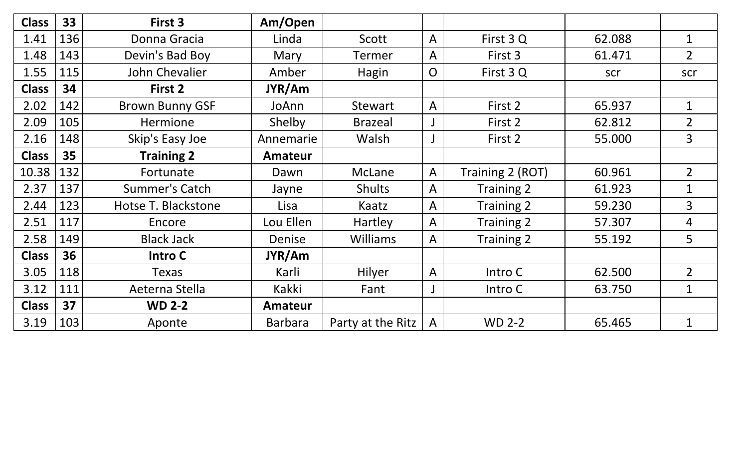| <b>Class</b> | 33  | First 3                | Am/Open        |                   |                         |                   |        |                |
|--------------|-----|------------------------|----------------|-------------------|-------------------------|-------------------|--------|----------------|
| 1.41         | 136 | Donna Gracia           | Linda          | Scott             | $\mathsf{A}$            | First 3 Q         | 62.088 | $\mathbf{1}$   |
| 1.48         | 143 | Devin's Bad Boy        | Mary           | <b>Termer</b>     | $\overline{A}$          | First 3           | 61.471 | $\overline{2}$ |
| 1.55         | 115 | John Chevalier         | Amber          | Hagin             | $\overline{O}$          | First 3 Q         | scr    | scr            |
| <b>Class</b> | 34  | First 2                | JYR/Am         |                   |                         |                   |        |                |
| 2.02         | 142 | <b>Brown Bunny GSF</b> | JoAnn          | <b>Stewart</b>    | $\overline{A}$          | First 2           | 65.937 | $\mathbf{1}$   |
| 2.09         | 105 | Hermione               | Shelby         | <b>Brazeal</b>    |                         | First 2           | 62.812 | $\overline{2}$ |
| 2.16         | 148 | Skip's Easy Joe        | Annemarie      | Walsh             |                         | First 2           | 55.000 | $\overline{3}$ |
| <b>Class</b> | 35  | <b>Training 2</b>      | <b>Amateur</b> |                   |                         |                   |        |                |
| 10.38        | 132 | Fortunate              | Dawn           | McLane            | $\mathsf{A}$            | Training 2 (ROT)  | 60.961 | $\overline{2}$ |
| 2.37         | 137 | <b>Summer's Catch</b>  | Jayne          | <b>Shults</b>     | A                       | Training 2        | 61.923 | $\mathbf{1}$   |
| 2.44         | 123 | Hotse T. Blackstone    | Lisa           | Kaatz             | $\mathsf{A}$            | <b>Training 2</b> | 59.230 | $\overline{3}$ |
| 2.51         | 117 | Encore                 | Lou Ellen      | Hartley           | $\overline{A}$          | <b>Training 2</b> | 57.307 | 4              |
| 2.58         | 149 | <b>Black Jack</b>      | Denise         | <b>Williams</b>   | $\overline{A}$          | <b>Training 2</b> | 55.192 | 5              |
| <b>Class</b> | 36  | <b>Intro C</b>         | JYR/Am         |                   |                         |                   |        |                |
| 3.05         | 118 | <b>Texas</b>           | Karli          | Hilyer            | $\overline{\mathsf{A}}$ | Intro C           | 62.500 | $\overline{2}$ |
| 3.12         | 111 | Aeterna Stella         | Kakki          | Fant              |                         | Intro C           | 63.750 | $\mathbf 1$    |
| <b>Class</b> | 37  | <b>WD 2-2</b>          | <b>Amateur</b> |                   |                         |                   |        |                |
| 3.19         | 103 | Aponte                 | <b>Barbara</b> | Party at the Ritz | $\mathsf{A}$            | <b>WD 2-2</b>     | 65.465 | $\mathbf{1}$   |